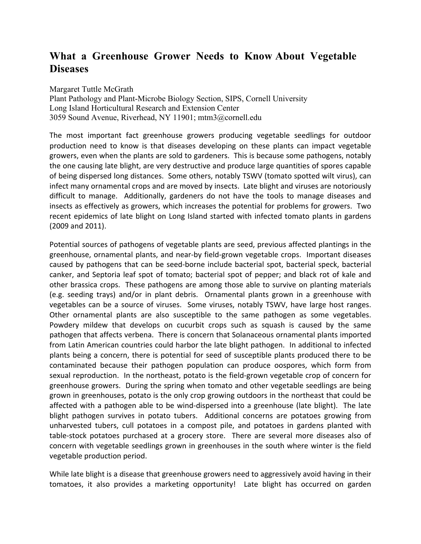## **What a Greenhouse Grower Needs to Know About Vegetable Diseases**

Margaret Tuttle McGrath Plant Pathology and Plant-Microbe Biology Section, SIPS, Cornell University Long Island Horticultural Research and Extension Center 3059 Sound Avenue, Riverhead, NY 11901; mtm3@cornell.edu

The most important fact greenhouse growers producing vegetable seedlings for outdoor production need to know is that diseases developing on these plants can impact vegetable growers, even when the plants are sold to gardeners. This is because some pathogens, notably the one causing late blight, are very destructive and produce large quantities of spores capable of being dispersed long distances. Some others, notably TSWV (tomato spotted wilt virus), can infect many ornamental crops and are moved by insects. Late blight and viruses are notoriously difficult to manage. Additionally, gardeners do not have the tools to manage diseases and insects as effectively as growers, which increases the potential for problems for growers. Two recent epidemics of late blight on Long Island started with infected tomato plants in gardens (2009 and 2011).

Potential sources of pathogens of vegetable plants are seed, previous affected plantings in the greenhouse, ornamental plants, and near-by field-grown vegetable crops. Important diseases caused by pathogens that can be seed-borne include bacterial spot, bacterial speck, bacterial canker, and Septoria leaf spot of tomato; bacterial spot of pepper; and black rot of kale and other brassica crops. These pathogens are among those able to survive on planting materials (e.g. seeding trays) and/or in plant debris. Ornamental plants grown in a greenhouse with vegetables can be a source of viruses. Some viruses, notably TSWV, have large host ranges. Other ornamental plants are also susceptible to the same pathogen as some vegetables. Powdery mildew that develops on cucurbit crops such as squash is caused by the same pathogen that affects verbena. There is concern that Solanaceous ornamental plants imported from Latin American countries could harbor the late blight pathogen. In additional to infected plants being a concern, there is potential for seed of susceptible plants produced there to be contaminated because their pathogen population can produce oospores, which form from sexual reproduction. In the northeast, potato is the field-grown vegetable crop of concern for greenhouse growers. During the spring when tomato and other vegetable seedlings are being grown in greenhouses, potato is the only crop growing outdoors in the northeast that could be affected with a pathogen able to be wind-dispersed into a greenhouse (late blight). The late blight pathogen survives in potato tubers. Additional concerns are potatoes growing from unharvested tubers, cull potatoes in a compost pile, and potatoes in gardens planted with table-stock potatoes purchased at a grocery store. There are several more diseases also of concern with vegetable seedlings grown in greenhouses in the south where winter is the field vegetable production period.

While late blight is a disease that greenhouse growers need to aggressively avoid having in their tomatoes, it also provides a marketing opportunity! Late blight has occurred on garden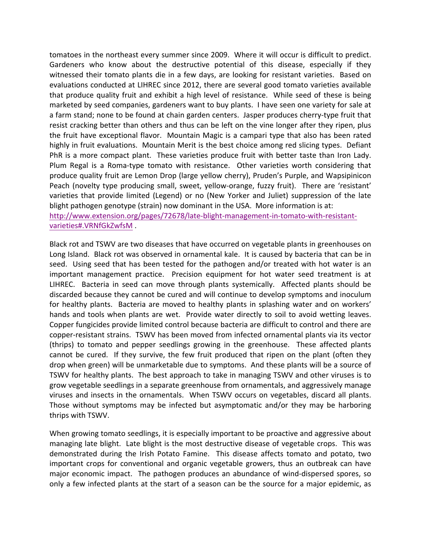tomatoes in the northeast every summer since 2009. Where it will occur is difficult to predict. Gardeners who know about the destructive potential of this disease, especially if they witnessed their tomato plants die in a few days, are looking for resistant varieties. Based on evaluations conducted at LIHREC since 2012, there are several good tomato varieties available that produce quality fruit and exhibit a high level of resistance. While seed of these is being marketed by seed companies, gardeners want to buy plants. I have seen one variety for sale at a farm stand; none to be found at chain garden centers. Jasper produces cherry-type fruit that resist cracking better than others and thus can be left on the vine longer after they ripen, plus the fruit have exceptional flavor. Mountain Magic is a campari type that also has been rated highly in fruit evaluations. Mountain Merit is the best choice among red slicing types. Defiant PhR is a more compact plant. These varieties produce fruit with better taste than Iron Lady. Plum Regal is a Roma-type tomato with resistance. Other varieties worth considering that produce quality fruit are Lemon Drop (large yellow cherry), Pruden's Purple, and Wapsipinicon Peach (novelty type producing small, sweet, yellow-orange, fuzzy fruit). There are 'resistant' varieties that provide limited (Legend) or no (New Yorker and Juliet) suppression of the late blight pathogen genotype (strain) now dominant in the USA. More information is at: http://www.extension.org/pages/72678/late-blight-management-in-tomato-with-resistantvarieties#.VRNfGkZwfsM .

Black rot and TSWV are two diseases that have occurred on vegetable plants in greenhouses on Long Island. Black rot was observed in ornamental kale. It is caused by bacteria that can be in seed. Using seed that has been tested for the pathogen and/or treated with hot water is an important management practice. Precision equipment for hot water seed treatment is at LIHREC. Bacteria in seed can move through plants systemically. Affected plants should be discarded because they cannot be cured and will continue to develop symptoms and inoculum for healthy plants. Bacteria are moved to healthy plants in splashing water and on workers' hands and tools when plants are wet. Provide water directly to soil to avoid wetting leaves. Copper fungicides provide limited control because bacteria are difficult to control and there are copper-resistant strains. TSWV has been moved from infected ornamental plants via its vector (thrips) to tomato and pepper seedlings growing in the greenhouse. These affected plants cannot be cured. If they survive, the few fruit produced that ripen on the plant (often they drop when green) will be unmarketable due to symptoms. And these plants will be a source of TSWV for healthy plants. The best approach to take in managing TSWV and other viruses is to grow vegetable seedlings in a separate greenhouse from ornamentals, and aggressively manage viruses and insects in the ornamentals. When TSWV occurs on vegetables, discard all plants. Those without symptoms may be infected but asymptomatic and/or they may be harboring thrips with TSWV.

When growing tomato seedlings, it is especially important to be proactive and aggressive about managing late blight. Late blight is the most destructive disease of vegetable crops. This was demonstrated during the Irish Potato Famine. This disease affects tomato and potato, two important crops for conventional and organic vegetable growers, thus an outbreak can have major economic impact. The pathogen produces an abundance of wind-dispersed spores, so only a few infected plants at the start of a season can be the source for a major epidemic, as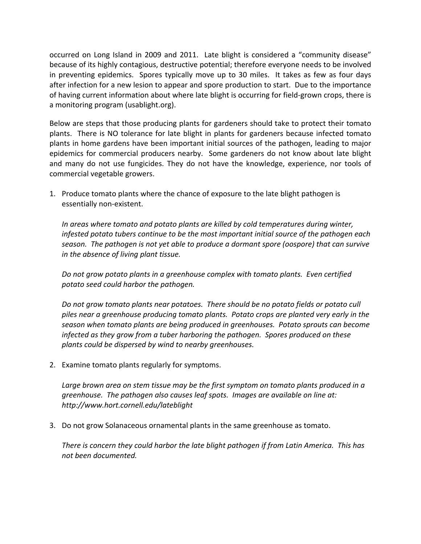occurred on Long Island in 2009 and 2011. Late blight is considered a "community disease" because of its highly contagious, destructive potential; therefore everyone needs to be involved in preventing epidemics. Spores typically move up to 30 miles. It takes as few as four days after infection for a new lesion to appear and spore production to start. Due to the importance of having current information about where late blight is occurring for field-grown crops, there is a monitoring program (usablight.org).

Below are steps that those producing plants for gardeners should take to protect their tomato plants. There is NO tolerance for late blight in plants for gardeners because infected tomato plants in home gardens have been important initial sources of the pathogen, leading to major epidemics for commercial producers nearby. Some gardeners do not know about late blight and many do not use fungicides. They do not have the knowledge, experience, nor tools of commercial vegetable growers.

1. Produce tomato plants where the chance of exposure to the late blight pathogen is essentially non-existent.

In areas where tomato and potato plants are killed by cold temperatures during winter, infested potato tubers continue to be the most important initial source of the pathogen each *season. The pathogen is not yet able to produce a dormant spore (oospore) that can survive in the absence of living plant tissue.*

Do not grow potato plants in a greenhouse complex with tomato plants. Even certified *potato seed could harbor the pathogen.*

Do not grow tomato plants near potatoes. There should be no potato fields or potato cull piles near a greenhouse producing tomato plants. Potato crops are planted very early in the season when tomato plants are being produced in greenhouses. Potato sprouts can become *infected* as they grow from a tuber harboring the pathogen. Spores produced on these *plants could be dispersed by wind to nearby greenhouses.*

2. Examine tomato plants regularly for symptoms.

Large brown area on stem tissue may be the first symptom on tomato plants produced in a *greenhouse. The pathogen also causes leaf spots. Images are available on line at: http://www.hort.cornell.edu/lateblight*

3. Do not grow Solanaceous ornamental plants in the same greenhouse as tomato.

There is concern they could harbor the late blight pathogen if from Latin America. This has *not been documented.*